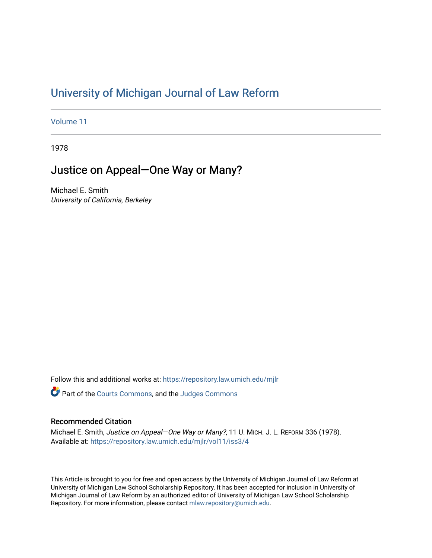# [University of Michigan Journal of Law Reform](https://repository.law.umich.edu/mjlr)

[Volume 11](https://repository.law.umich.edu/mjlr/vol11)

1978

## Justice on Appeal—One Way or Many?

Michael E. Smith University of California, Berkeley

Follow this and additional works at: [https://repository.law.umich.edu/mjlr](https://repository.law.umich.edu/mjlr?utm_source=repository.law.umich.edu%2Fmjlr%2Fvol11%2Fiss3%2F4&utm_medium=PDF&utm_campaign=PDFCoverPages) 

**P** Part of the [Courts Commons,](http://network.bepress.com/hgg/discipline/839?utm_source=repository.law.umich.edu%2Fmjlr%2Fvol11%2Fiss3%2F4&utm_medium=PDF&utm_campaign=PDFCoverPages) and the Judges Commons

### Recommended Citation

Michael E. Smith, Justice on Appeal—One Way or Many?, 11 U. MICH. J. L. REFORM 336 (1978). Available at: [https://repository.law.umich.edu/mjlr/vol11/iss3/4](https://repository.law.umich.edu/mjlr/vol11/iss3/4?utm_source=repository.law.umich.edu%2Fmjlr%2Fvol11%2Fiss3%2F4&utm_medium=PDF&utm_campaign=PDFCoverPages) 

This Article is brought to you for free and open access by the University of Michigan Journal of Law Reform at University of Michigan Law School Scholarship Repository. It has been accepted for inclusion in University of Michigan Journal of Law Reform by an authorized editor of University of Michigan Law School Scholarship Repository. For more information, please contact [mlaw.repository@umich.edu](mailto:mlaw.repository@umich.edu).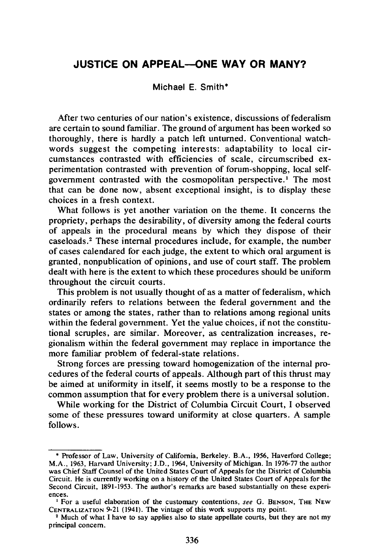#### **JUSTICE ON APPEAL-ONE WAY OR MANY?**

Michael E. Smith\*

After two centuries of our nation's existence, discussions of federalism are certain to sound familiar. The ground of argument has been worked so thoroughly, there is hardly a patch left unturned. Conventional watchwords suggest the competing interests: adaptability to local circumstances contrasted with efficiencies of scale, circumscribed experimentation contrasted with prevention of forum-shopping, lo.cal selfgovernment contrasted with the cosmopolitan perspective.<sup>1</sup> The most that can be done now, absent exceptional insight, is to display these choices in a fresh context.

What follows is yet another variation on the theme. It concerns the propriety, perhaps the desirability, of diversity among the federal courts of appeals in the procedural means by which they dispose of their caseloads. 2 These internal procedures include, for example, the number of cases calendared for each judge, the extent to which oral argument is granted, nonpublication of opinions, and use of court staff. The problem dealt with here is the extent to which these procedures should be uniform throughout the circuit courts.

This problem is not usually thought of as a matter of federalism, which ordinarily refers to relations between the federal government and the states or among the states, rather than to relations among regional units within the federal government. Yet the value choices, if not the constitutional scruples, are similar. Moreover: as centralization increases, regionalism within the federal government may replace in importance the more familiar problem of federal-state relations.

Strong forces are pressing toward homogenization of the internal procedures of the federal courts of appeals. Although part of this thrust may be aimed at uniformity in itself, it seems mostly to be a response to the common assumption that for every problem there is a universal solution.

While working for the District of Columbia Circuit Court, I observed some of these pressures toward uniformity at close quarters. A sample follows.

<sup>•</sup> Professor of Law, University of California, Berkeley. B.A., 1956, Haverford College; M.A., 1963, Harvard University; J.D., 1964, University of Michigan. In 1976-77 the author was Chief Staff Counsel of the United States Court of Appeals for the District of Columbia Circuit. He is currently working on a history of the United States Court of Appeals for the Second Circuit, 1891-1953. The author's remarks are based substantially on these experi-

ences.<br><sup>1</sup> For a useful elaboration of the customary contentions, *see* G. BENSON, THE NEW<br>CENTRALIZATION 9-21 (1941). The vintage of this work supports my point.

<sup>&</sup>lt;sup>2</sup> Much of what I have to say applies also to state appellate courts, but they are not my principal concern.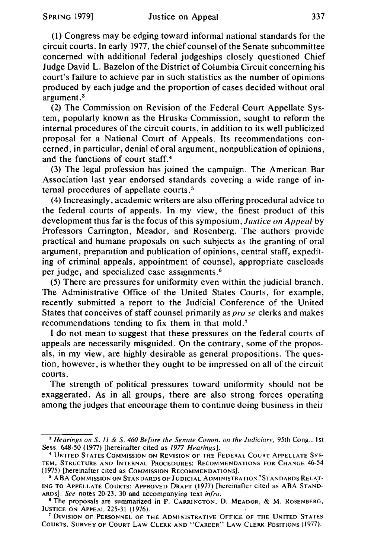(l) Congress may be edging toward informal national standards for the circuit courts. In early 1977, the chief counsel of the Senate subcommittee concerned with additional federal judgeships closely questioned Chief Judge David L. Bazelon of the District of Columbia Circuit concerning his court's failure to achieve par in such statistics as the number of opinions produced by each judge and the proportion of cases decided without oral argument. <sup>3</sup>

(2) The Commission on Revision of the Federal Court Appellate System, popularly known as the Hruska Commission, sought to reform the internal procedures of the circuit courts, in addition to its well publicized proposal for a National Court of Appeals. Its recommendations concerned, in particular, denial of oral argument, nonpublication of opinions, and the functions of court staff. <sup>4</sup>

(3) The legal profession has joined the campaign. The American Bar Association last year endorsed standards covering a wide range of internal procedures of appellate courts. <sup>5</sup>

(4) Increasingly, academic writers are also offering procedural advice to the federal courts of appeals. In my view, the finest product of this development thus far is the focus of this symposium, *Justice on Appeal* by Professors Carrington, Meador, and Rosenberg. The authors provide practical and humane proposals on such subjects as the granting of oral argument, preparation and publication of opinions, central staff, expediting of criminal appeals, appointment of counsel, appropriate caseloads per judge, and specialized case assignments. <sup>6</sup>

(5) There are pressures for uniformity even within the judicial branch. The Administrative Office of the United States Courts, for example, recently submitted a report to the Judicial Conference of the United States that conceives of staff counsel primarily as pro *se* clerks and makes recommendations tending to fix them in that mold.<sup>7</sup>

I do not mean to suggest that these pressures on the federal courts of appeals are necessarily misguided. On the contrary, some of the proposals, in my view, are highly desirable as general propositions. The question, however, is whether they ought to be impressed on all of the circuit courts.

The strength of political pressures toward uniformity should not be exaggerated. As in all groups, there are also strong forces operating among the judges that encourage them to continue doing business in their

<sup>&</sup>lt;sup>3</sup> Hearings on S. 11 & S. 460 Before the Senate Comm. on the Judiciary, 95th Cong., 1st Sess. 648-50 (1977) [hereinafter cited as */977 Hearings].* 

<sup>4</sup> UNITED STATES COMMISSION ON REVISION OF THE FEDERAL COURT APPELLATE SYS-TEM, STRUCTURE AND INTERNAL PROCEDURES: RECOMMENDATIONS FOR CHANGE 46-54 (1975) [hereinafter cited as Commission Recommendations].<br><sup>5</sup> ABA Commission on Standards of Judicial Administration,\*Standards Relat-

ING TO APPELLATE COURTS: APPROVED DRAFT (1977) [hereinafter cited as ABA STAND-ARDS]. See notes 20-23, 30 and accompanying text *infra*.

<sup>&</sup>lt;sup>6</sup> The proposals are summarized in P. CARRINGTON, D. MEADOR, & M. ROSENBERG, JUSTICE ON APPEAL 225-31 (1976).

<sup>&</sup>lt;sup>7</sup> DIVISION OF PERSONNEL OF THE ADMINISTRATIVE OFFICE OF THE UNITED STATES COURTS. SURVEY OF COURT LAW CLERK AND "CAREER" LAW CLERK POSITIONS (1977).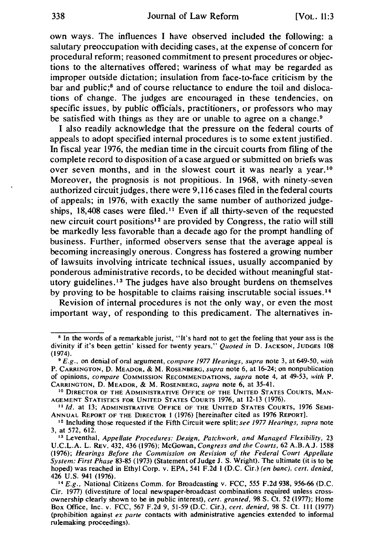#### 338 Journal of Law Reform [VOL. 11:3]

own ways. The influences I have observed included the following: a salutary preoccupation with deciding cases, at the expense of concern for procedural reform; reasoned commitment to present procedures or objections to the alternatives offered; wariness of what may be regarded as improper outside dictation; insulation from face-to-face criticism by the bar and public;<sup>8</sup> and of course reluctance to endure the toil and dislocations of change. The judges are encouraged in these tendencies, on specific issues, by public officials, practitioners, or professors who may be satisfied with things as they are or unable to agree on a change.<sup>9</sup>

I also readily acknowledge that the pressure on the federal courts of appeals to adopt specified internal procedures is to some extent justified. In fiscal year 1976, the median time in the circuit courts from filing of the complete record to disposition of a case argued or submitted on briefs was over seven months, and in the slowest court it was nearly a year.<sup>10</sup> Moreover, the prognosis is not propitious. In 1968, with ninety-seven authorized circuit judges, there were 9, 116 cases filed in the federal courts of appeals; in 1976, with exactly the same number of authorized judgeships, 18,408 cases were filed. 11 Even if all thirty-seven of the requested new circuit court positions<sup>12</sup> are provided by Congress, the ratio will still be markedly less favorable than a decade ago for the prompt handling of business. Further, informed observers sense that the average appeal is becoming increasingly onerous. Congress has fostered a growing number of lawsuits involving intricate technical issues, usually accompanied by ponderous administrative records, to be decided without meaningful statutory guidelines. 13 The judges have also brought burdens on themselves by proving to be hospitable to claims raising inscrutable social issues. <sup>14</sup>

Revision of internal procedures is not the only way, or even the most important way, of responding to this predicament. The alternatives in-

<sup>&</sup>lt;sup>8</sup> In the words of a remarkable jurist, "It's hard not to get the feeling that your ass is the divinity if it's been gettin' kissed for twenty years." *Quoted in* D. JACKSON, JUDGES 108 (1974). 9 *E.g.,* on denial of oral argument, *compare 1977 Hearings, supra* note 3, at 649-50, *with* 

P. CARRINGTON, D. MEADOR, & M. ROSENBERG, *supra* note 6, at 16-24; on nonpublication of opinions, *compare* COMMISSION RECOMMENDATIONS, *supra* note 4, at 49-53, *with* P. CARRINGTON, D. MEADOR, & M. ROSENBERG, *supra* note 6, at 35-41.

<sup>&</sup>lt;sup>10</sup> DIRECTOR OF THE ADMINISTRATIVE OFFICE OF THE UNITED STATES COURTS, MAN-<br>AGEMENT STATISTICS FOR UNITED STATES COURTS 1976, at 12-13 (1976).

<sup>&</sup>lt;sup>11</sup> Id. at 13; ADMINISTRATIVE OFFICE OF THE UNITED STATES COURTS, 1976 SEMI-<br>ANNUAL REPORT OF THE DIRECTOR 1 (1976) [hereinafter cited as 1976 REPORT].

<sup>&</sup>lt;sup>12</sup> Including those requested if the Fifth Circuit were split; *see 1977 Hearings, supra* note 3, at 572, 612.

<sup>&</sup>lt;sup>13</sup> Leventhal, *Appellate Procedures: Design, Patchwork, and Managed Flexibility, 23* U.C.L.A. L. REv. 432, 436 (1976); McGowan, *Congress and the Courts,* 62 A.B.A.J. 1588 (1976); *Hearings Before the Commission on Revision of the Federal Court Appellate System: First Phase* 83-85 (1973) (Statement of Judge J. S. Wright). The ultimate (it is to be hoped) was reached in Ethyl Corp. v. EPA, 541 F.2d I (D.C. Cir.) *(en bane), cert. denied,* 

<sup>&</sup>lt;sup>14</sup> *E.g.*, National Citizens Comm. for Broadcasting v. FCC, 555 F.2d 938, 956-66 (D.C. Cir. 1977) (divestiture of local newspaper-broadcast combinations required unless crossownership clearly shown to be in public interest), *cert. granted,* 98 S. Ct. 52 (1977); Home Box Office, Inc. v. FCC, 567 F.2d 9, 51-59 (D.C. Cir.), *cert. denied,* 98 S. Ct. 111 (1977) (prohibition against *ex parte* contacts with administrative agencies extended to informal rulemaking proceedings).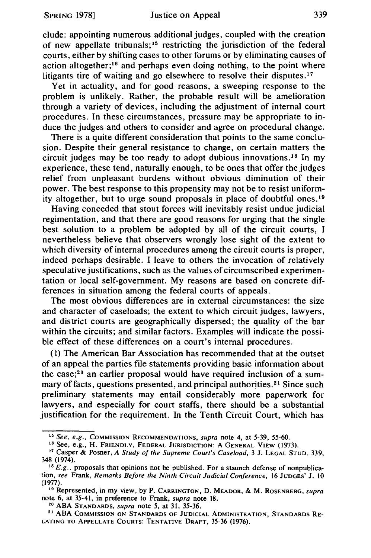elude: appointing numerous additional judges, coupled with the creation of new appellate tribunals; 15 restricting the jurisdiction of the federal courts, either by shifting cases to other forums or by eliminating causes of action altogether;<sup>16</sup> and perhaps even doing nothing, to the point where litigants tire of waiting and go elsewhere to resolve their disputes.<sup>17</sup>

Yet in actuality, and for good reasons, a sweeping response to the problem is unlikely. Rather, the probable result will be amelioration through a variety of devices, including the adjustment of internal court procedures. In these circumstances, pressure may be appropriate to induce the judges and others to consider and agree on procedural change.

There is a quite different consideration that points to the same conclusion. Despite their general resistance to change, on certain matters the circuit judges may be too ready to adopt dubious innovations. 18 In my experience, these tend, naturally enough, to be ones that offer the judges relief from unpleasant burdens without obvious diminution of their power. The best response to this propensity may not be to resist uniformity altogether, but to urge sound proposals in place of doubtful ones. <sup>19</sup>

Having conceded that stout forces will inevitably resist undue judicial regimentation, and that there are good reasons for urging that the single best solution to a problem be adopted by all of the circuit courts, I nevertheless believe that observers wrongly lose sight of the extent to which diversity of internal procedures among the circuit courts is proper, indeed perhaps desirable. I leave to others the invocation of relatively speculative justifications, such as the values of circumscribed experimentation or local self-government. My reasons are based on concrete differences in situation among the federal courts of appeals.

The most obvious differences are in external circumstances: the size and character of caseloads; the extent to which circuit judges, lawyers, and district courts are geographically dispersed; the quality of the bar within the circuits; and similar factors. Examples will indicate the possible effect of these differences on a court's internal procedures.

( 1) The American Bar Association has recommended that at the outset of an appeal the parties file statements providing basic information about the case; $20$  an earlier proposal would have required inclusion of a summary of facts, questions presented, and principal authorities. 21 Since such preliminary statements may entail considerably more paperwork for lawyers, and especially for court staffs, there should be a substantial justification for the requirement. In the Tenth Circuit Court, which has

<sup>&</sup>lt;sup>15</sup> See, e.g., COMMISSION RECOMMENDATIONS, *supra* note 4, at 5-39, 55-60.<br><sup>16</sup> See, e.g., H. FRIENDLY, FEDERAL JURISDICTION: A GENERAL VIEW (1973).<br><sup>17</sup> Casper & Posner, A Study of the Supreme Court's Caseload, 3 J. LEG

 $18$  E.g., proposals that opinions not be published. For a staunch defense of nonpublication, *see* Frank, *Remarks Before the Ninth Circuit Judicial Conference,* 16 JUDGES' J. 10

<sup>&</sup>lt;sup>19</sup> Represented, in my view, by P. CARRINGTON, D. MEADOR, & M. ROSENBERG, *supra* note 6, at 35-41, in preference to Frank, *supra* note 18.<br><sup>20</sup> ABA STANDARDS, *supra* note 5, at 31, 35-36.<br><sup>21</sup> ABA COMMISSION ON STANDARDS OF JUDICIAL ADMINISTRATION, STANDARDS RE-

LATING TO APPELLATE COURTS: TENTATIVE DRAFT, 35-36 (1976).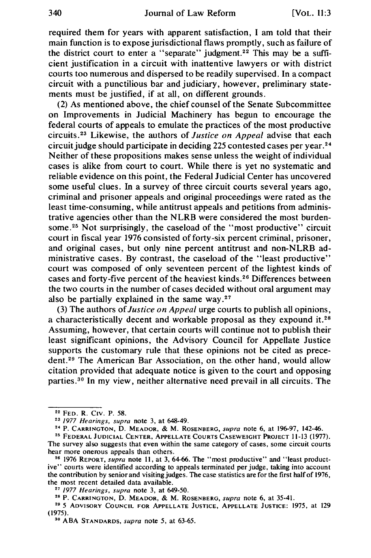required them for years with apparent satisfaction, I am told that their main function is to expose jurisdictional flaws promptly, such as failure of the district court to enter a "separate" judgment.<sup>22</sup> This may be a sufficient justification in a circuit with inattentive lawyers or with district courts too numerous and dispersed to be readily supervised. In a compact circuit with a punctilious bar and judiciary, however, preliminary statements must be justified, if at all, on different grounds.

(2) As mentioned above, the chief counsel of the Senate Subcommittee on Improvements in Judicial Machinery has begun to encourage the federal courts of appeals to emulate the practices of the most productive circuits.<sup>23</sup> Likewise, the authors of *Justice on Appeal* advise that each circuit judge should participate in deciding 225 contested cases per year. <sup>24</sup> Neither of these propositions makes sense unless the weight of individual cases is alike from court to court. While there is yet no systematic and reliable evidence on this point, the Federal Judicial Center has uncovered some useful clues. In a survey of three circuit courts several years ago, criminal and prisoner appeals and original proceedings were rated as the least time-consuming, while antitrust appeals and petitions from administrative agencies other than the NLRB were considered the most burdensome.<sup>25</sup> Not surprisingly, the caseload of the "most productive" circuit court in fiscal year 1976 consisted of forty-six percent criminal, prisoner, and original cases, but only nine percent antitrust and non-NLRB administrative cases. By contrast, the caseload of the "least productive" court was composed of only seventeen percent of the lightest kinds of cases and forty-five percent of the heaviest kinds. 26 Differences between the two courts in the number of cases decided without oral argument may also be partially explained in the same way. $27$ 

(3) The authors of *Justice on Appeal* urge courts to publish all opinions, a characteristically decent and workable proposal as they expound it.<sup>28</sup> Assuming, however, that certain courts will continue not to publish their least significant opinions, the Advisory Council for Appellate Justice supports the customary rule that these opinions not be cited as precedent.<sup>29</sup> The American Bar Association, on the other hand, would allow citation provided that adequate notice is given to the court and opposing parties. 30 In my view, neither alternative need prevail in all circuits. The

<sup>&</sup>lt;sup>22</sup> Fed. R. Civ. P. 58.<br><sup>23</sup> 1977 *Hearings, supra* note 3, at 648-49.<br><sup>24</sup> P. Carrington, D. Meador, & M. Rosenberg, *supra* note 6, at 196-97, 142-46.<br><sup>25</sup> Federal Judicial Center, Appellate Courts Caseweight Project 11

The survey also suggests that even within the same category of cases, some circuit courts hear more onerous appeals than others.<br><sup>26</sup> 1976 REPORT, *supra* note 11, at 3, 64-66. The "most productive" and "least product-

ive" courts were identified according to appeals terminated per judge, taking into account the contribution by senior and visiting judges. The case statistics are for the first half of 1976, the most recent detailed data available.

<sup>&</sup>lt;sup>27</sup> 1977 Hearings, supra note 3, at 649-50.<br><sup>28</sup> P. CARRINGTON, D. MEADOR, & M. ROSENBERG, *supra* note 6, at 35-41.<br><sup>29</sup> 5 ADVISORY COUNCIL FOR APPELLATE JUSTICE, APPELLATE JUSTICE: 1975, at 129<br>(1975).

<sup>&</sup>lt;sup>30</sup> ABA STANDARDS, *supra* note 5, at 63-65.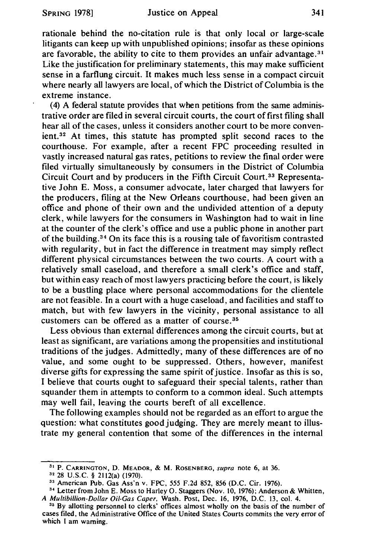rationale behind the no-citation rule is that only local or large-scale litigants can keep up with unpublished opinions; insofar as these opinions are favorable, the ability to cite to them provides an unfair advantage.<sup>31</sup> Like the justification for preliminary statements, this may make sufficient sense in a farflung circuit. It makes much less sense in a compact circuit where nearly all lawyers are local, of which the District of Columbia is the extreme instance.

(4) A federal statute provides that when petitions from the same administrative order are filed in several circuit courts, the court of first filing shall hear all of the cases, unless it considers another court to be more convenient. 32 At times, this statute has prompted split second races to the courthouse. For example, after a recent FPC proceeding resulted in vastly increased natural gas rates, petitions to review the final order were filed virtually simultaneously by consumers in the District of Columbia Circuit Court and by producers in the Fifth Circuit Court. 33 Representative John E. Moss, a consumer advocate, later charged that lawyers for the producers, filing at the New Orleans courthouse, had been given an office and phone of their own and the undivided attention of a deputy clerk, while lawyers for the consumers in Washington had to wait in line at the counter of the clerk's office and use a public phone in another part of the building. <sup>34</sup>On its face this is a rousing tale of favoritism contrasted with regularity, but in fact the difference in treatment may simply reflect different physical circumstances between the two courts. A court with a relatively small caseload, and therefore a small clerk's office and staff, but within easy reach of most lawyers practicing before the court, is likely to be a bustling place where personal accommodations for the clientele are not feasible. In a court with a huge caseload, and facilities and staff to match, but with few lawyers in the vicinity, personal assistance to all customers can be offered as a matter of course. <sup>35</sup>

Less obvious than external differences among the circuit courts, but at least as significant, are variations among the propensities and institutional traditions of the judges. Admittedly; many of these differences are of no value, and some ought to be suppressed. Others, however, manifest diverse gifts for expressing the same spirit of justice. Insofar as this is so, I believe that courts ought to safeguard their special talents, rather than squander them in attempts to conform to a common ideal. Such attempts may well fail, leaving the courts bereft of all excellence.

The following examples should not be regarded as an effort to argue the question: what constitutes good judging. They are merely meant to illustrate my general contention that some of the differences in the internal

<sup>&</sup>lt;sup>31</sup> P. CARRINGTON, D. MEADOR, & M. ROSENBERG, *supra* note 6, at 36.<br><sup>32</sup> 28 U.S.C. § 2112(a) (1970).<br><sup>33</sup> American Pub. Gas Ass'n v. FPC, 555 F.2d 852, 856 (D.C. Cir. 1976).<br><sup>34</sup> Letter from John E. Moss to Harley O. St *A Multibil/ion-Dollar Oil-Gas Caper,* Wash. Post, Dec. 16, 1976, D.C. 13, col. 4. 3 • By allotting personnel to clerks' offices almost wholly on the basis of the number of

cases filed, the Administrative Office of the United States Courts commits the very error of which I am warning.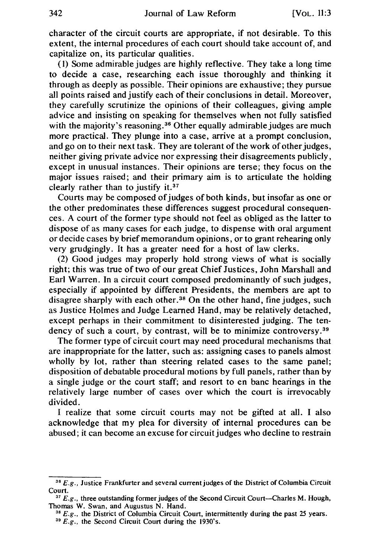character of the circuit courts are appropriate, if not desirable. To this extent, the internal procedures of each court should take account of, and capitalize on, its particular qualities.

( 1) Some admirable judges are highly reflective. They take a long time to decide a case, researching each issue thoroughly and thinking it through as deeply as possible. Their opinions are exhaustive; they pursue all points raised and justify each of their conclusions in detail. Moreover, they carefully scrutinize the opinions of their colleagues, giving ample advice and insisting on speaking for themselves when not fully satisfied with the majority's reasoning.<sup>36</sup> Other equally admirable judges are much more practical. They plunge into a case, arrive at a prompt conclusion, and go on to their next task. They are tolerant of the work of other judges, neither giving private advice nor expressing their disagreements publicly, except in unusual instances. Their opinions are terse; they focus on the major issues raised; and their primary aim is to articulate the holding clearly rather than to justify it.<sup>37</sup>

Courts may be composed of judges of both kinds, but insofar as one or the other predominates these differences suggest procedural consequences. A court of the former type should not feel as obliged as the latter to dispose of as many cases for each judge, to dispense with oral argument or decide cases by brief memorandum opinions, or to grant rehearing only very grudgingly. It has a greater need for a host of law clerks.

(2) Good judges may properly hold strong views of what is socially right; this was true of two of our great Chief Justices, John Marshall and Earl Warren. In a circuit court composed predominantly of such judges, especially if appointed by different Presidents, the members are apt to disagree sharply with each other.<sup>38</sup> On the other hand, fine judges, such as Justice Holmes and Judge Learned Hand, may be relatively detached, except perhaps in their commitment to disinterested judging. The tendency of such a court, by contrast, will be to minimize controversy.<sup>39</sup>

The former type of circuit court may need procedural mechanisms that are inappropriate for the latter, such as: assigning cases to panels almost wholly by lot, rather than steering related cases to the same panel; disposition of debatable procedural motions by full panels, rather than by a single judge or the court staff; and resort to en bane hearings in the relatively large number of cases over which the court is irrevocably divided.

I realize that some circuit courts may not be gifted at all. I also acknowledge that my plea for diversity of internal procedures can be abused; it can become an excuse for circuit judges who decline to restrain

<sup>36</sup>*E.g.,* Justice Frankfurter and several current judges of the District of Columbia Circuit Court.

<sup>&</sup>lt;sup>37</sup> E.g., three outstanding former judges of the Second Circuit Court--Charles M. Hough,

Thomas W. Swan, and Augustus N. Hand.<br><sup>38</sup> *E.g.*, the District of Columbia Circuit Court, intermittently during the past 25 years.<br><sup>39</sup> *E.g.*, the Second Circuit Court during the 1930's.